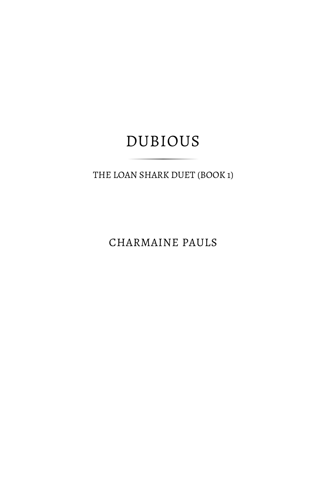THE LOAN SHARK DUET (BOOK 1)

CHARMAINE PAULS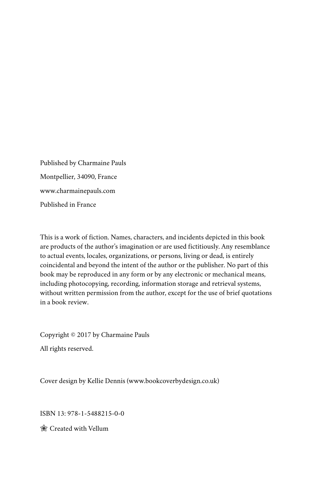Published by Charmaine Pauls Montpellier, 34090, France www.charmainepauls.com Published in France

This is a work of fiction. Names, characters, and incidents depicted in this book are products of the author's imagination or are used fictitiously. Any resemblance to actual events, locales, organizations, or persons, living or dead, is entirely coincidental and beyond the intent of the author or the publisher. No part of this book may be reproduced in any form or by any electronic or mechanical means, including photocopying, recording, information storage and retrieval systems, without written permission from the author, except for the use of brief quotations in a book review.

Copyright © 2017 by Charmaine Pauls All rights reserved.

Cover design by Kellie Dennis (www.bookcoverbydesign.co.uk)

ISBN 13: 978-1-5488215-0-0

Created with Vellum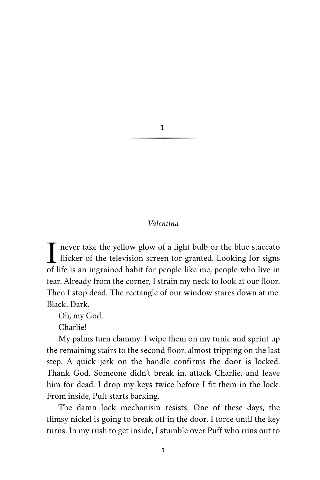# 1

# *Valentina*

T never take the yellow glow of a light bulb or the blue staccato<br>flicker of the television screen for granted. Looking for signs<br>of life is an increased behit for nearle like me nearle who live in flicker of the television screen for granted. Looking for signs of life is an ingrained habit for people like me, people who live in fear. Already from the corner, I strain my neck to look at our floor. Then I stop dead. The rectangle of our window stares down at me. Black. Dark.

Oh, my God.

Charlie!

My palms turn clammy. I wipe them on my tunic and sprint up the remaining stairs to the second floor, almost tripping on the last step. A quick jerk on the handle confirms the door is locked. Thank God. Someone didn't break in, attack Charlie, and leave him for dead. I drop my keys twice before I fit them in the lock. From inside, Puff starts barking.

The damn lock mechanism resists. One of these days, the flimsy nickel is going to break off in the door. I force until the key turns. In my rush to get inside, I stumble over Puff who runs out to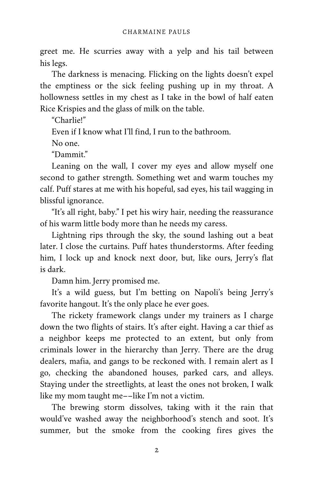greet me. He scurries away with a yelp and his tail between his legs.

The darkness is menacing. Flicking on the lights doesn't expel the emptiness or the sick feeling pushing up in my throat. A hollowness settles in my chest as I take in the bowl of half eaten Rice Krispies and the glass of milk on the table.

"Charlie!"

Even if I know what I'll find, I run to the bathroom.

No one.

"Dammit."

Leaning on the wall, I cover my eyes and allow myself one second to gather strength. Something wet and warm touches my calf. Puff stares at me with his hopeful, sad eyes, his tail wagging in blissful ignorance.

"It's all right, baby." I pet his wiry hair, needing the reassurance of his warm little body more than he needs my caress.

Lightning rips through the sky, the sound lashing out a beat later. I close the curtains. Puff hates thunderstorms. After feeding him, I lock up and knock next door, but, like ours, Jerry's flat is dark.

Damn him. Jerry promised me.

It's a wild guess, but I'm betting on Napoli's being Jerry's favorite hangout. It's the only place he ever goes.

The rickety framework clangs under my trainers as I charge down the two flights of stairs. It's after eight. Having a car thief as a neighbor keeps me protected to an extent, but only from criminals lower in the hierarchy than Jerry. There are the drug dealers, mafia, and gangs to be reckoned with. I remain alert as I go, checking the abandoned houses, parked cars, and alleys. Staying under the streetlights, at least the ones not broken, I walk like my mom taught me––like I'm not a victim.

The brewing storm dissolves, taking with it the rain that would've washed away the neighborhood's stench and soot. It's summer, but the smoke from the cooking fires gives the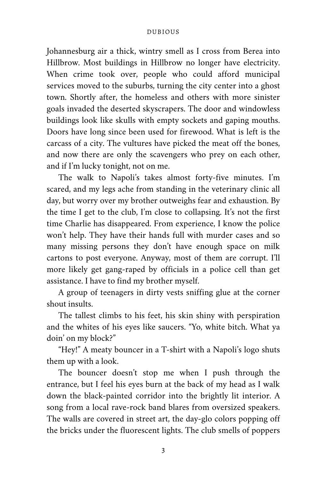Johannesburg air a thick, wintry smell as I cross from Berea into Hillbrow. Most buildings in Hillbrow no longer have electricity. When crime took over, people who could afford municipal services moved to the suburbs, turning the city center into a ghost town. Shortly after, the homeless and others with more sinister goals invaded the deserted skyscrapers. The door and windowless buildings look like skulls with empty sockets and gaping mouths. Doors have long since been used for firewood. What is left is the carcass of a city. The vultures have picked the meat off the bones, and now there are only the scavengers who prey on each other, and if I'm lucky tonight, not on me.

The walk to Napoli's takes almost forty-five minutes. I'm scared, and my legs ache from standing in the veterinary clinic all day, but worry over my brother outweighs fear and exhaustion. By the time I get to the club, I'm close to collapsing. It's not the first time Charlie has disappeared. From experience, I know the police won't help. They have their hands full with murder cases and so many missing persons they don't have enough space on milk cartons to post everyone. Anyway, most of them are corrupt. I'll more likely get gang-raped by officials in a police cell than get assistance. I have to find my brother myself.

A group of teenagers in dirty vests sniffing glue at the corner shout insults.

The tallest climbs to his feet, his skin shiny with perspiration and the whites of his eyes like saucers. "Yo, white bitch. What ya doin' on my block?"

"Hey!" A meaty bouncer in a T-shirt with a Napoli's logo shuts them up with a look.

The bouncer doesn't stop me when I push through the entrance, but I feel his eyes burn at the back of my head as I walk down the black-painted corridor into the brightly lit interior. A song from a local rave-rock band blares from oversized speakers. The walls are covered in street art, the day-glo colors popping off the bricks under the fluorescent lights. The club smells of poppers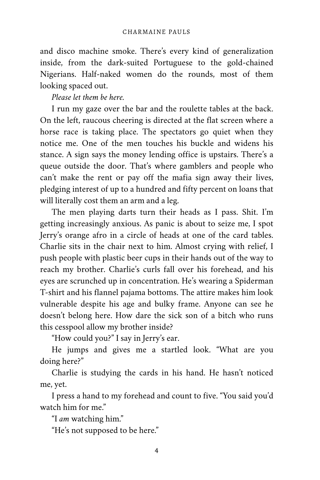and disco machine smoke. There's every kind of generalization inside, from the dark-suited Portuguese to the gold-chained Nigerians. Half-naked women do the rounds, most of them looking spaced out.

*Please let them be here.*

I run my gaze over the bar and the roulette tables at the back. On the left, raucous cheering is directed at the flat screen where a horse race is taking place. The spectators go quiet when they notice me. One of the men touches his buckle and widens his stance. A sign says the money lending office is upstairs. There's a queue outside the door. That's where gamblers and people who can't make the rent or pay off the mafia sign away their lives, pledging interest of up to a hundred and fifty percent on loans that will literally cost them an arm and a leg.

The men playing darts turn their heads as I pass. Shit. I'm getting increasingly anxious. As panic is about to seize me, I spot Jerry's orange afro in a circle of heads at one of the card tables. Charlie sits in the chair next to him. Almost crying with relief, I push people with plastic beer cups in their hands out of the way to reach my brother. Charlie's curls fall over his forehead, and his eyes are scrunched up in concentration. He's wearing a Spiderman T-shirt and his flannel pajama bottoms. The attire makes him look vulnerable despite his age and bulky frame. Anyone can see he doesn't belong here. How dare the sick son of a bitch who runs this cesspool allow my brother inside?

"How could you?" I say in Jerry's ear.

He jumps and gives me a startled look. "What are you doing here?"

Charlie is studying the cards in his hand. He hasn't noticed me, yet.

I press a hand to my forehead and count to five. "You said you'd watch him for me."

"I *am* watching him."

"He's not supposed to be here."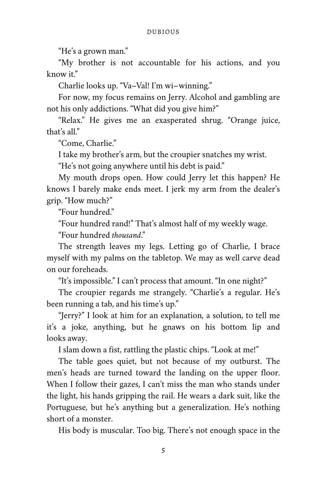"He's a grown man."

"My brother is not accountable for his actions, and you know it."

Charlie looks up. "Va–Val! I'm wi–winning."

For now, my focus remains on Jerry. Alcohol and gambling are not his only addictions. "What did you give him?"

"Relax." He gives me an exasperated shrug. "Orange juice, that's all."

"Come, Charlie."

I take my brother's arm, but the croupier snatches my wrist.

"He's not going anywhere until his debt is paid."

My mouth drops open. How could Jerry let this happen? He knows I barely make ends meet. I jerk my arm from the dealer's grip. "How much?"

"Four hundred."

"Four hundred rand!" That's almost half of my weekly wage.

"Four hundred *thousand*."

The strength leaves my legs. Letting go of Charlie, I brace myself with my palms on the tabletop. We may as well carve dead on our foreheads.

"It's impossible." I can't process that amount. "In one night?"

The croupier regards me strangely. "Charlie's a regular. He's been running a tab, and his time's up."

"Jerry?" I look at him for an explanation, a solution, to tell me it's a joke, anything, but he gnaws on his bottom lip and looks away.

I slam down a fist, rattling the plastic chips. "Look at me!"

The table goes quiet, but not because of my outburst. The men's heads are turned toward the landing on the upper floor. When I follow their gazes, I can't miss the man who stands under the light, his hands gripping the rail. He wears a dark suit, like the Portuguese, but he's anything but a generalization. He's nothing short of a monster.

His body is muscular. Too big. There's not enough space in the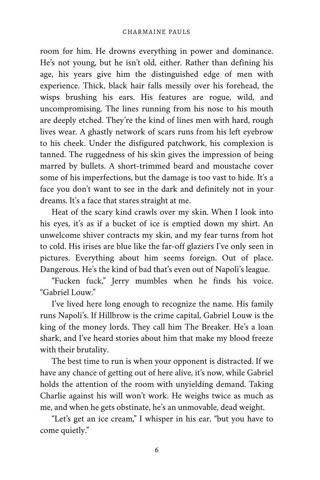room for him. He drowns everything in power and dominance. He's not young, but he isn't old, either. Rather than defining his age, his years give him the distinguished edge of men with experience. Thick, black hair falls messily over his forehead, the wisps brushing his ears. His features are rogue, wild, and uncompromising. The lines running from his nose to his mouth are deeply etched. They're the kind of lines men with hard, rough lives wear. A ghastly network of scars runs from his left eyebrow to his cheek. Under the disfigured patchwork, his complexion is tanned. The ruggedness of his skin gives the impression of being marred by bullets. A short-trimmed beard and moustache cover some of his imperfections, but the damage is too vast to hide. It's a face you don't want to see in the dark and definitely not in your dreams. It's a face that stares straight at me.

Heat of the scary kind crawls over my skin. When I look into his eyes, it's as if a bucket of ice is emptied down my shirt. An unwelcome shiver contracts my skin, and my fear turns from hot to cold. His irises are blue like the far-off glaziers I've only seen in pictures. Everything about him seems foreign. Out of place. Dangerous. He's the kind of bad that's even out of Napoli's league.

"Fucken fuck," Jerry mumbles when he finds his voice. "Gabriel Louw."

I've lived here long enough to recognize the name. His family runs Napoli's. If Hillbrow is the crime capital, Gabriel Louw is the king of the money lords. They call him The Breaker. He's a loan shark, and I've heard stories about him that make my blood freeze with their brutality.

The best time to run is when your opponent is distracted. If we have any chance of getting out of here alive, it's now, while Gabriel holds the attention of the room with unyielding demand. Taking Charlie against his will won't work. He weighs twice as much as me, and when he gets obstinate, he's an unmovable, dead weight.

"Let's get an ice cream," I whisper in his ear, "but you have to come quietly."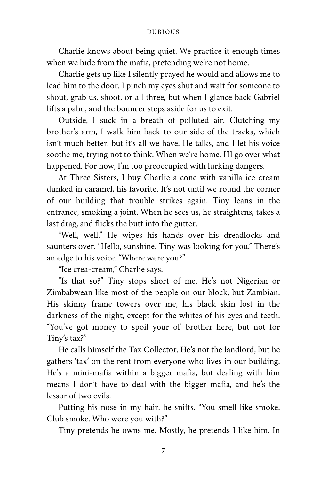Charlie knows about being quiet. We practice it enough times when we hide from the mafia, pretending we're not home.

Charlie gets up like I silently prayed he would and allows me to lead him to the door. I pinch my eyes shut and wait for someone to shout, grab us, shoot, or all three, but when I glance back Gabriel lifts a palm, and the bouncer steps aside for us to exit.

Outside, I suck in a breath of polluted air. Clutching my brother's arm, I walk him back to our side of the tracks, which isn't much better, but it's all we have. He talks, and I let his voice soothe me, trying not to think. When we're home, I'll go over what happened. For now, I'm too preoccupied with lurking dangers.

At Three Sisters, I buy Charlie a cone with vanilla ice cream dunked in caramel, his favorite. It's not until we round the corner of our building that trouble strikes again. Tiny leans in the entrance, smoking a joint. When he sees us, he straightens, takes a last drag, and flicks the butt into the gutter.

"Well, well." He wipes his hands over his dreadlocks and saunters over. "Hello, sunshine. Tiny was looking for you." There's an edge to his voice. "Where were you?"

"Ice crea-cream," Charlie says.

"Is that so?" Tiny stops short of me. He's not Nigerian or Zimbabwean like most of the people on our block, but Zambian. His skinny frame towers over me, his black skin lost in the darkness of the night, except for the whites of his eyes and teeth. "You've got money to spoil your ol' brother here, but not for Tiny's tax?"

He calls himself the Tax Collector. He's not the landlord, but he gathers 'tax' on the rent from everyone who lives in our building. He's a mini-mafia within a bigger mafia, but dealing with him means I don't have to deal with the bigger mafia, and he's the lessor of two evils.

Putting his nose in my hair, he sniffs. "You smell like smoke. Club smoke. Who were you with?"

Tiny pretends he owns me. Mostly, he pretends I like him. In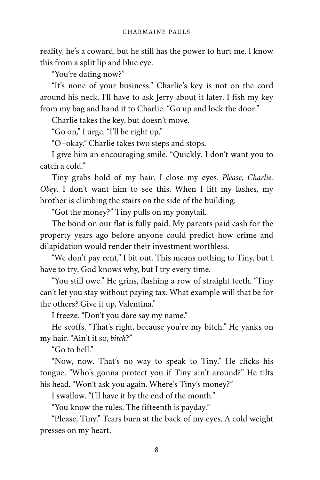reality, he's a coward, but he still has the power to hurt me. I know this from a split lip and blue eye.

"You're dating now?"

"It's none of your business." Charlie's key is not on the cord around his neck. I'll have to ask Jerry about it later. I fish my key from my bag and hand it to Charlie. "Go up and lock the door."

Charlie takes the key, but doesn't move.

"Go on," I urge. "I'll be right up."

"O–okay." Charlie takes two steps and stops.

I give him an encouraging smile. "Quickly. I don't want you to catch a cold."

Tiny grabs hold of my hair. I close my eyes. *Please, Charlie. Obey.* I don't want him to see this. When I lift my lashes, my brother is climbing the stairs on the side of the building.

"Got the money?" Tiny pulls on my ponytail.

The bond on our flat is fully paid. My parents paid cash for the property years ago before anyone could predict how crime and dilapidation would render their investment worthless.

"We don't pay rent," I bit out. This means nothing to Tiny, but I have to try. God knows why, but I try every time.

"You still owe." He grins, flashing a row of straight teeth. "Tiny can't let you stay without paying tax. What example will that be for the others? Give it up, Valentina."

I freeze. "Don't you dare say my name."

He scoffs. "That's right, because you're my bitch." He yanks on my hair. "Ain't it so, *bitch*?"

"Go to hell."

"Now, now. That's no way to speak to Tiny." He clicks his tongue. "Who's gonna protect you if Tiny ain't around?" He tilts his head. "Won't ask you again. Where's Tiny's money?"

I swallow. "I'll have it by the end of the month."

"You know the rules. The fifteenth is payday."

"Please, Tiny." Tears burn at the back of my eyes. A cold weight presses on my heart.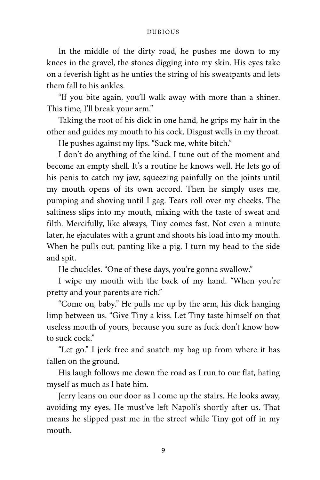In the middle of the dirty road, he pushes me down to my knees in the gravel, the stones digging into my skin. His eyes take on a feverish light as he unties the string of his sweatpants and lets them fall to his ankles.

"If you bite again, you'll walk away with more than a shiner. This time, I'll break your arm."

Taking the root of his dick in one hand, he grips my hair in the other and guides my mouth to his cock. Disgust wells in my throat.

He pushes against my lips. "Suck me, white bitch."

I don't do anything of the kind. I tune out of the moment and become an empty shell. It's a routine he knows well. He lets go of his penis to catch my jaw, squeezing painfully on the joints until my mouth opens of its own accord. Then he simply uses me, pumping and shoving until I gag. Tears roll over my cheeks. The saltiness slips into my mouth, mixing with the taste of sweat and filth. Mercifully, like always, Tiny comes fast. Not even a minute later, he ejaculates with a grunt and shoots his load into my mouth. When he pulls out, panting like a pig, I turn my head to the side and spit.

He chuckles. "One of these days, you're gonna swallow."

I wipe my mouth with the back of my hand. "When you're pretty and your parents are rich."

"Come on, baby." He pulls me up by the arm, his dick hanging limp between us. "Give Tiny a kiss. Let Tiny taste himself on that useless mouth of yours, because you sure as fuck don't know how to suck cock."

"Let go." I jerk free and snatch my bag up from where it has fallen on the ground.

His laugh follows me down the road as I run to our flat, hating myself as much as I hate him.

Jerry leans on our door as I come up the stairs. He looks away, avoiding my eyes. He must've left Napoli's shortly after us. That means he slipped past me in the street while Tiny got off in my mouth.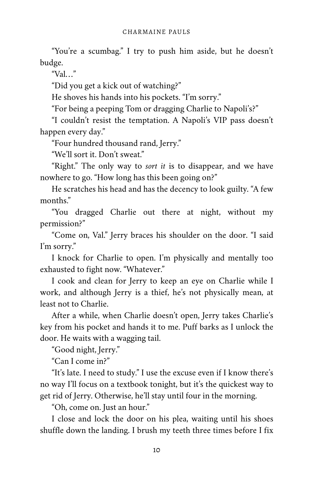"You're a scumbag." I try to push him aside, but he doesn't budge.

"Val…"

"Did you get a kick out of watching?"

He shoves his hands into his pockets. "I'm sorry."

"For being a peeping Tom or dragging Charlie to Napoli's?"

"I couldn't resist the temptation. A Napoli's VIP pass doesn't happen every day."

"Four hundred thousand rand, Jerry."

"We'll sort it. Don't sweat"

"Right." The only way to *sort it* is to disappear, and we have nowhere to go. "How long has this been going on?"

He scratches his head and has the decency to look guilty. "A few months."

"You dragged Charlie out there at night, without my permission?"

"Come on, Val." Jerry braces his shoulder on the door. "I said I'm sorry."

I knock for Charlie to open. I'm physically and mentally too exhausted to fight now. "Whatever."

I cook and clean for Jerry to keep an eye on Charlie while I work, and although Jerry is a thief, he's not physically mean, at least not to Charlie.

After a while, when Charlie doesn't open, Jerry takes Charlie's key from his pocket and hands it to me. Puff barks as I unlock the door. He waits with a wagging tail.

"Good night, Jerry."

"Can I come in?"

"It's late. I need to study." I use the excuse even if I know there's no way I'll focus on a textbook tonight, but it's the quickest way to get rid of Jerry. Otherwise, he'll stay until four in the morning.

"Oh, come on. Just an hour."

I close and lock the door on his plea, waiting until his shoes shuffle down the landing. I brush my teeth three times before I fix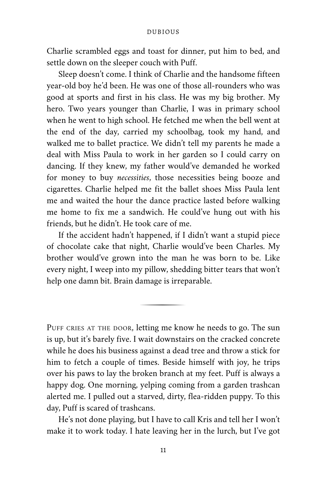Charlie scrambled eggs and toast for dinner, put him to bed, and settle down on the sleeper couch with Puff.

Sleep doesn't come. I think of Charlie and the handsome fifteen year-old boy he'd been. He was one of those all-rounders who was good at sports and first in his class. He was my big brother. My hero. Two years younger than Charlie, I was in primary school when he went to high school. He fetched me when the bell went at the end of the day, carried my schoolbag, took my hand, and walked me to ballet practice. We didn't tell my parents he made a deal with Miss Paula to work in her garden so I could carry on dancing. If they knew, my father would've demanded he worked for money to buy *necessities*, those necessities being booze and cigarettes. Charlie helped me fit the ballet shoes Miss Paula lent me and waited the hour the dance practice lasted before walking me home to fix me a sandwich. He could've hung out with his friends, but he didn't. He took care of me.

If the accident hadn't happened, if I didn't want a stupid piece of chocolate cake that night, Charlie would've been Charles. My brother would've grown into the man he was born to be. Like every night, I weep into my pillow, shedding bitter tears that won't help one damn bit. Brain damage is irreparable.

PUFF CRIES AT THE DOOR, letting me know he needs to go. The sun is up, but it's barely five. I wait downstairs on the cracked concrete while he does his business against a dead tree and throw a stick for him to fetch a couple of times. Beside himself with joy, he trips over his paws to lay the broken branch at my feet. Puff is always a happy dog. One morning, yelping coming from a garden trashcan alerted me. I pulled out a starved, dirty, flea-ridden puppy. To this day, Puff is scared of trashcans.

He's not done playing, but I have to call Kris and tell her I won't make it to work today. I hate leaving her in the lurch, but I've got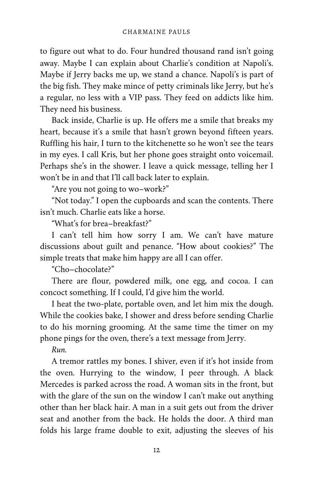to figure out what to do. Four hundred thousand rand isn't going away. Maybe I can explain about Charlie's condition at Napoli's. Maybe if Jerry backs me up, we stand a chance. Napoli's is part of the big fish. They make mince of petty criminals like Jerry, but he's a regular, no less with a VIP pass. They feed on addicts like him. They need his business.

Back inside, Charlie is up. He offers me a smile that breaks my heart, because it's a smile that hasn't grown beyond fifteen years. Ruffling his hair, I turn to the kitchenette so he won't see the tears in my eyes. I call Kris, but her phone goes straight onto voicemail. Perhaps she's in the shower. I leave a quick message, telling her I won't be in and that I'll call back later to explain.

"Are you not going to wo–work?"

"Not today." I open the cupboards and scan the contents. There isn't much. Charlie eats like a horse.

"What's for brea–breakfast?"

I can't tell him how sorry I am. We can't have mature discussions about guilt and penance. "How about cookies?" The simple treats that make him happy are all I can offer.

"Cho–chocolate?"

There are flour, powdered milk, one egg, and cocoa. I can concoct something. If I could, I'd give him the world.

I heat the two-plate, portable oven, and let him mix the dough. While the cookies bake, I shower and dress before sending Charlie to do his morning grooming. At the same time the timer on my phone pings for the oven, there's a text message from Jerry.

*Run.*

A tremor rattles my bones. I shiver, even if it's hot inside from the oven. Hurrying to the window, I peer through. A black Mercedes is parked across the road. A woman sits in the front, but with the glare of the sun on the window I can't make out anything other than her black hair. A man in a suit gets out from the driver seat and another from the back. He holds the door. A third man folds his large frame double to exit, adjusting the sleeves of his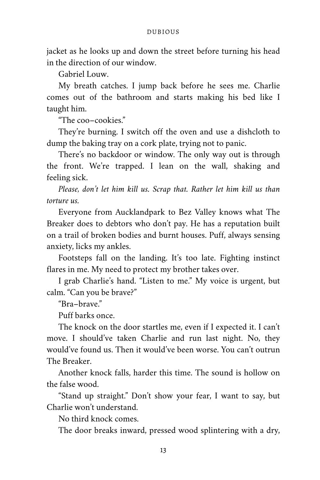jacket as he looks up and down the street before turning his head in the direction of our window.

Gabriel Louw.

My breath catches. I jump back before he sees me. Charlie comes out of the bathroom and starts making his bed like I taught him.

"The coo–cookies."

They're burning. I switch off the oven and use a dishcloth to dump the baking tray on a cork plate, trying not to panic.

There's no backdoor or window. The only way out is through the front. We're trapped. I lean on the wall, shaking and feeling sick.

*Please, don't let him kill us. Scrap that. Rather let him kill us than torture us.*

Everyone from Aucklandpark to Bez Valley knows what The Breaker does to debtors who don't pay. He has a reputation built on a trail of broken bodies and burnt houses. Puff, always sensing anxiety, licks my ankles.

Footsteps fall on the landing. It's too late. Fighting instinct flares in me. My need to protect my brother takes over.

I grab Charlie's hand. "Listen to me." My voice is urgent, but calm. "Can you be brave?"

"Bra–brave."

Puff barks once.

The knock on the door startles me, even if I expected it. I can't move. I should've taken Charlie and run last night. No, they would've found us. Then it would've been worse. You can't outrun The Breaker.

Another knock falls, harder this time. The sound is hollow on the false wood.

"Stand up straight." Don't show your fear, I want to say, but Charlie won't understand.

No third knock comes.

The door breaks inward, pressed wood splintering with a dry,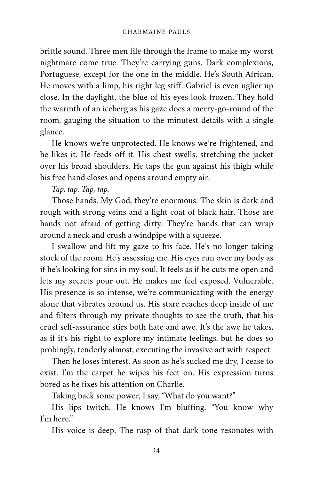brittle sound. Three men file through the frame to make my worst nightmare come true. They're carrying guns. Dark complexions, Portuguese, except for the one in the middle. He's South African. He moves with a limp, his right leg stiff. Gabriel is even uglier up close. In the daylight, the blue of his eyes look frozen. They hold the warmth of an iceberg as his gaze does a merry-go-round of the room, gauging the situation to the minutest details with a single glance.

He knows we're unprotected. He knows we're frightened, and he likes it. He feeds off it. His chest swells, stretching the jacket over his broad shoulders. He taps the gun against his thigh while his free hand closes and opens around empty air.

# *Tap, tap. Tap, tap.*

Those hands. My God, they're enormous. The skin is dark and rough with strong veins and a light coat of black hair. Those are hands not afraid of getting dirty. They're hands that can wrap around a neck and crush a windpipe with a squeeze.

I swallow and lift my gaze to his face. He's no longer taking stock of the room. He's assessing me. His eyes run over my body as if he's looking for sins in my soul. It feels as if he cuts me open and lets my secrets pour out. He makes me feel exposed. Vulnerable. His presence is so intense, we're communicating with the energy alone that vibrates around us. His stare reaches deep inside of me and filters through my private thoughts to see the truth, that his cruel self-assurance stirs both hate and awe. It's the awe he takes, as if it's his right to explore my intimate feelings, but he does so probingly, tenderly almost, executing the invasive act with respect.

Then he loses interest. As soon as he's sucked me dry, I cease to exist. I'm the carpet he wipes his feet on. His expression turns bored as he fixes his attention on Charlie.

Taking back some power, I say, "What do you want?"

His lips twitch. He knows I'm bluffing. "You know why I'm here."

His voice is deep. The rasp of that dark tone resonates with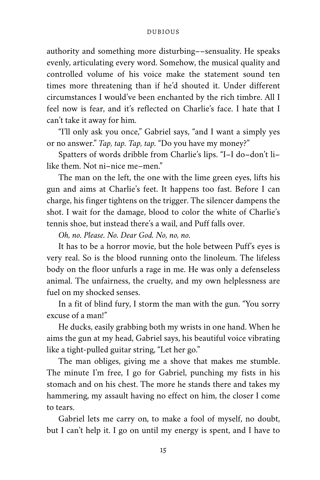authority and something more disturbing––sensuality. He speaks evenly, articulating every word. Somehow, the musical quality and controlled volume of his voice make the statement sound ten times more threatening than if he'd shouted it. Under different circumstances I would've been enchanted by the rich timbre. All I feel now is fear, and it's reflected on Charlie's face. I hate that I can't take it away for him.

"I'll only ask you once," Gabriel says, "and I want a simply yes or no answer." *Tap, tap. Tap, tap.* "Do you have my money?"

Spatters of words dribble from Charlie's lips. "I–I do–don't li– like them. Not ni–nice me–men."

The man on the left, the one with the lime green eyes, lifts his gun and aims at Charlie's feet. It happens too fast. Before I can charge, his finger tightens on the trigger. The silencer dampens the shot. I wait for the damage, blood to color the white of Charlie's tennis shoe, but instead there's a wail, and Puff falls over.

*Oh, no. Please. No. Dear God. No, no, no.*

It has to be a horror movie, but the hole between Puff's eyes is very real. So is the blood running onto the linoleum. The lifeless body on the floor unfurls a rage in me. He was only a defenseless animal. The unfairness, the cruelty, and my own helplessness are fuel on my shocked senses.

In a fit of blind fury, I storm the man with the gun. "You sorry excuse of a man!"

He ducks, easily grabbing both my wrists in one hand. When he aims the gun at my head, Gabriel says, his beautiful voice vibrating like a tight-pulled guitar string, "Let her go."

The man obliges, giving me a shove that makes me stumble. The minute I'm free, I go for Gabriel, punching my fists in his stomach and on his chest. The more he stands there and takes my hammering, my assault having no effect on him, the closer I come to tears.

Gabriel lets me carry on, to make a fool of myself, no doubt, but I can't help it. I go on until my energy is spent, and I have to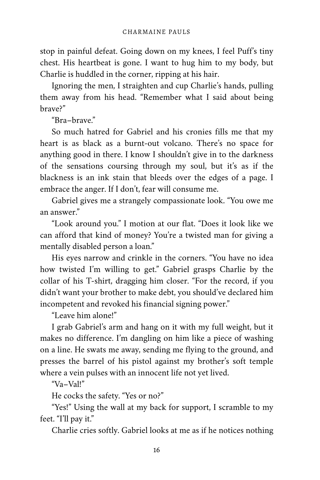stop in painful defeat. Going down on my knees, I feel Puff's tiny chest. His heartbeat is gone. I want to hug him to my body, but Charlie is huddled in the corner, ripping at his hair.

Ignoring the men, I straighten and cup Charlie's hands, pulling them away from his head. "Remember what I said about being brave?"

"Bra–brave."

So much hatred for Gabriel and his cronies fills me that my heart is as black as a burnt-out volcano. There's no space for anything good in there. I know I shouldn't give in to the darkness of the sensations coursing through my soul, but it's as if the blackness is an ink stain that bleeds over the edges of a page. I embrace the anger. If I don't, fear will consume me.

Gabriel gives me a strangely compassionate look. "You owe me an answer."

"Look around you." I motion at our flat. "Does it look like we can afford that kind of money? You're a twisted man for giving a mentally disabled person a loan."

His eyes narrow and crinkle in the corners. "You have no idea how twisted I'm willing to get." Gabriel grasps Charlie by the collar of his T-shirt, dragging him closer. "For the record, if you didn't want your brother to make debt, you should've declared him incompetent and revoked his financial signing power."

"Leave him alone!"

I grab Gabriel's arm and hang on it with my full weight, but it makes no difference. I'm dangling on him like a piece of washing on a line. He swats me away, sending me flying to the ground, and presses the barrel of his pistol against my brother's soft temple where a vein pulses with an innocent life not yet lived.

"Va–Val!"

He cocks the safety. "Yes or no?"

"Yes!" Using the wall at my back for support, I scramble to my feet. "I'll pay it."

Charlie cries softly. Gabriel looks at me as if he notices nothing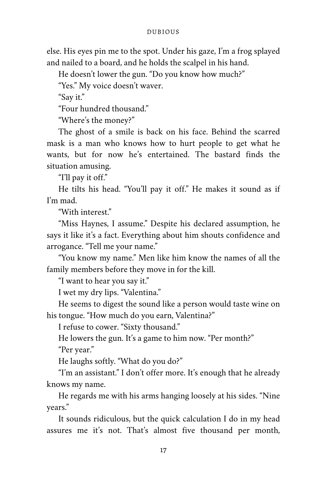else. His eyes pin me to the spot. Under his gaze, I'm a frog splayed and nailed to a board, and he holds the scalpel in his hand.

He doesn't lower the gun. "Do you know how much?"

"Yes." My voice doesn't waver.

"Say it."

"Four hundred thousand."

"Where's the money?"

The ghost of a smile is back on his face. Behind the scarred mask is a man who knows how to hurt people to get what he wants, but for now he's entertained. The bastard finds the situation amusing.

"I'll pay it off."

He tilts his head. "You'll pay it off." He makes it sound as if I'm mad.

"With interest."

"Miss Haynes, I assume." Despite his declared assumption, he says it like it's a fact. Everything about him shouts confidence and arrogance. "Tell me your name."

"You know my name." Men like him know the names of all the family members before they move in for the kill.

"I want to hear you say it."

I wet my dry lips. "Valentina."

He seems to digest the sound like a person would taste wine on his tongue. "How much do you earn, Valentina?"

I refuse to cower. "Sixty thousand."

He lowers the gun. It's a game to him now. "Per month?"

"Per year."

He laughs softly. "What do you do?"

"I'm an assistant." I don't offer more. It's enough that he already knows my name.

He regards me with his arms hanging loosely at his sides. "Nine years."

It sounds ridiculous, but the quick calculation I do in my head assures me it's not. That's almost five thousand per month,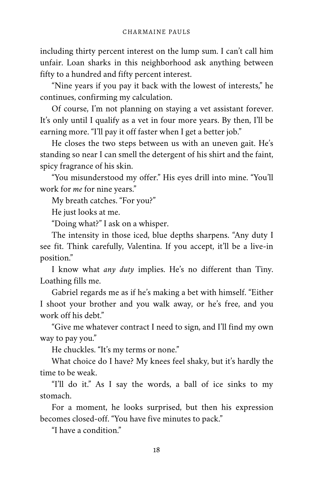including thirty percent interest on the lump sum. I can't call him unfair. Loan sharks in this neighborhood ask anything between fifty to a hundred and fifty percent interest.

"Nine years if you pay it back with the lowest of interests," he continues, confirming my calculation.

Of course, I'm not planning on staying a vet assistant forever. It's only until I qualify as a vet in four more years. By then, I'll be earning more. "I'll pay it off faster when I get a better job."

He closes the two steps between us with an uneven gait. He's standing so near I can smell the detergent of his shirt and the faint, spicy fragrance of his skin.

"You misunderstood my offer." His eyes drill into mine. "You'll work for *me* for nine years."

My breath catches. "For you?"

He just looks at me.

"Doing what?" I ask on a whisper.

The intensity in those iced, blue depths sharpens. "Any duty I see fit. Think carefully, Valentina. If you accept, it'll be a live-in position."

I know what *any duty* implies. He's no different than Tiny. Loathing fills me.

Gabriel regards me as if he's making a bet with himself. "Either I shoot your brother and you walk away, or he's free, and you work off his debt."

"Give me whatever contract I need to sign, and I'll find my own way to pay you."

He chuckles. "It's my terms or none."

What choice do I have? My knees feel shaky, but it's hardly the time to be weak.

"I'll do it." As I say the words, a ball of ice sinks to my stomach.

For a moment, he looks surprised, but then his expression becomes closed-off. "You have five minutes to pack."

"I have a condition."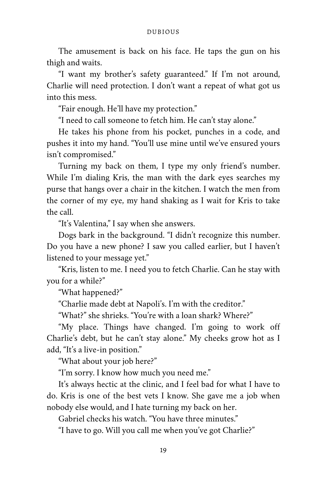The amusement is back on his face. He taps the gun on his thigh and waits.

"I want my brother's safety guaranteed." If I'm not around, Charlie will need protection. I don't want a repeat of what got us into this mess.

"Fair enough. He'll have my protection."

"I need to call someone to fetch him. He can't stay alone."

He takes his phone from his pocket, punches in a code, and pushes it into my hand. "You'll use mine until we've ensured yours isn't compromised."

Turning my back on them, I type my only friend's number. While I'm dialing Kris, the man with the dark eyes searches my purse that hangs over a chair in the kitchen. I watch the men from the corner of my eye, my hand shaking as I wait for Kris to take the call.

"It's Valentina," I say when she answers.

Dogs bark in the background. "I didn't recognize this number. Do you have a new phone? I saw you called earlier, but I haven't listened to your message yet."

"Kris, listen to me. I need you to fetch Charlie. Can he stay with you for a while?"

"What happened?"

"Charlie made debt at Napoli's. I'm with the creditor."

"What?" she shrieks. "You're with a loan shark? Where?"

"My place. Things have changed. I'm going to work off Charlie's debt, but he can't stay alone." My cheeks grow hot as I add, "It's a live-in position."

"What about your job here?"

"I'm sorry. I know how much you need me."

It's always hectic at the clinic, and I feel bad for what I have to do. Kris is one of the best vets I know. She gave me a job when nobody else would, and I hate turning my back on her.

Gabriel checks his watch. "You have three minutes."

"I have to go. Will you call me when you've got Charlie?"